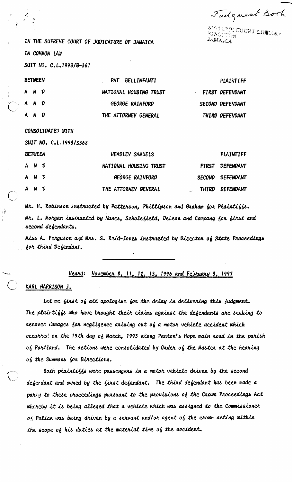Tudgment Book

guyeuna coobt library<br>Bibouton **JAMAICA** 

IN THE SUPREME COURT OF JUDICATURE OF JAMAICA **IN COMMON LAW** 

SUIT NO. C.L.1993/B-361

| <b>BETWEEN</b> |       |  | PAT BELLINFANTI        | PLAINTIFF               |
|----------------|-------|--|------------------------|-------------------------|
|                | A N D |  | NATIONAL HOUSING TRUST | FIRST DEFENDANT         |
|                | A N D |  | GEORGE RAINFORD        | <b>SECOND DEFENDANT</b> |
|                | A N D |  | THE ATTORNEY GENERAL   | THIRD DEFENDANT         |

CONSOLIDATED WITH

SUIT NO. C.L.1993/S368

| <b>BETWEEN</b> |            |  | <b>HEADLEY SAMUELS</b> | PLAINTIFF        |
|----------------|------------|--|------------------------|------------------|
|                | A N D      |  | NATIONAL HOUSING TRUST | FIRST DEFENDANT  |
|                | A N D      |  | <b>GEORGE RAINFORD</b> | SECOND DEFENDANT |
|                | $A \cap N$ |  | THE ATTORNEY GENERAL   | THIRD DEFENDANT  |

Mr. H. Robinson instructed by Patterson, Phillipson and Graham for Plaintiffs. Mr. L. Morgan instructed by Nunes, Scholefield, Deleon and Company for first and second defendants.

Miss A. Ferguson and Mrs. S. Reid-Jones instructed by Director of State Proceedings for third Defendant.

> November 8, 11, 12, 13, 1996 and February 3, 1997 Heard:

KARL HARRISON J.

Let me first of all apologise for the delay in delivering this judgment. The plairtiffs who have brought their claims against the defendants are secking to recover damages for negligence arising out of a motor vehicle accident which occurred on the 19th day of March, 1993 along Panton's Hope main road in the parish of Portland. The actions were consolidated by Order of the Master at the hearing of the Summons for Directions.

Both plaintiffs were passengers in a motor vehicle driven by the second deferdant and owned by the first defendant. The third defendant has been made a partly to these proceedings pursuant to the provisions of the Crown Proceedings Act whereby it is being alleged that a vehicle which was assigned to the Commissioner  $o<sub>0</sub>$  Police was being driven by a servant and/or agent of the crown acting within the scope of his duties at the material time of the accident.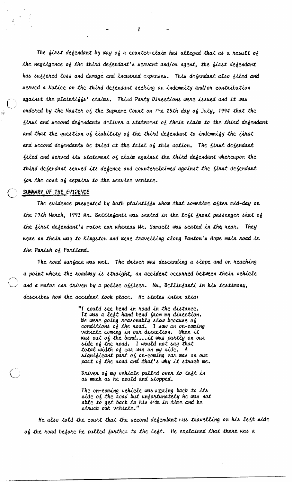The first defendant by way of a counter-claim has alleged that as a result of the negligence of the third defendant's servant and/or agent, the first defendant has suffered loss and damage and incurred expenses. This defendant also filed and scrued a Notice on the third defendant seeking an indemnity and/or contribution against the plaintiffs' claims. Third Party Directions were issued and it was ordered by the Master of the Supreme Court on  $f$ he 25th day of July, 1994 that the first and second defendants deliver a statement of their claim to the third defendant and that the question of liability of the third defendant to indemnify the first and second defendants be tried at the trial of this action. The first defendant filed and served its statement of claim against the third defendant whereupon the third defendant served its defence and counterclaimed against the first defendant for the cost of repairs to the service vehicle.

SUMMARY OF THE EVIDENCE

The evidence presented by both plaintiffs show that sometime after mid-day on the 19th March, 1993 Mr. Bellinfanti was seated in the left front passenger seat of the first defendant's motor car whereas Mr. Samuels was seated in the rear. They were on their way to Kingston and were travelling along Panton's Hope main road in the Parish of Portland.

The road surface was wet. The driver was descending a slope and on reaching a point where the roadway is straight, an accident occurred between their vehicle and a motor car driven by a police officer. Mr. Bellinfanti in his testimony, describes how the accident took place. He states inter alia:

> "I could see bend in road in the distance. It was a left hand bend from my direction. We were going reasonably slow because of<br>conditions of the road. I saw an on-coming vehicle coming in our direction. When it was out of the bend.... it was partly on our side of the road. I would not say that total width of car was on my side. A significant part of on-coming car was on our part of the road and that's why it struck me.

Driver of my vehicle pulled over to left in as much as he could and stopped.

The on-coming vehicle was varing back to its side of the road but unfortunately he was not able to get back to his side in time and he struck out vehicle."

He also told the court that the second defendant was travelling on his left side of the road before he pulled further to the left. He explained that there was a

 $\mathbf{Z}$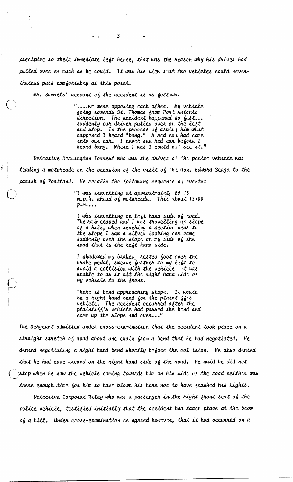precipice to their immediate left hence, that was the reason why his driver had pulled over as much as he could. It was his view that two vehicles could nevertheless pass comfortably at this point.

Mr. Samuels' account of the accident is as foll ws:

۱v

"....wc were opposing each other. My vehicle going towards St. Thomas from Port Antonio<br>direction. The accident happened so fast.. suddenly our driver pulled over on the left and stop. In the process of asking him what<br>happened I heard "bang." A red car had come I never see red car before I into our car. heard bang. Where I was I could n.t see it."

Detective Herrington Forrest who was the driver  $c_i$  the police vehicle was Leading a motorcade on the occasion of the visit of  $\tau h$ ? Hon. Edward Seaga to the parish of Portland. He recalls the following sequenze of events:

> "I was travelling at approximately 20-25  $m.p.h.$  ahead of motorcade. This about  $12:00$  $p.m...$

I was travelling on left hand side of road. The rain ceased and I was travelling up slope of a hill, when reaching a sectior near to the slope I saw a silver looking car came suddenly over the slope on my side of the noad that is the left hand side.

I shadowed my brakes, rested foot ever the<br>brake pedal, swerve further to my l'ft to avoid a collision with the vehicle it was unable to as it hit the right hand ide of my vehicle to the front.

There is bend approaching slope. It would be a right hand bend for the plaint  $\{6\}$ 's vehicle. The accident occurred after the plaintiff's vehicle had passed the bend and come up the slope and over..."

The Sergeant admitted under cross-examination that the accident took place on a straight stretch of road about one chain from a bend that he had negotiated. He denied negotiating a right hand bend shortly before the col ision. He also denied that he had come around on the right hand side of the road. He said he did not stop when he saw the vehicle coming towards him on his side  $c\,f$  the road neither was there enough time for him to have blown his horn nor to have flashed his lights.

Detective Corporal Riley who was a passenger in the right front seat of the police vehicle, testified initially that the accident had taken place at the brow of a hill. Under cross-examination he agreed however, that it had occurred on a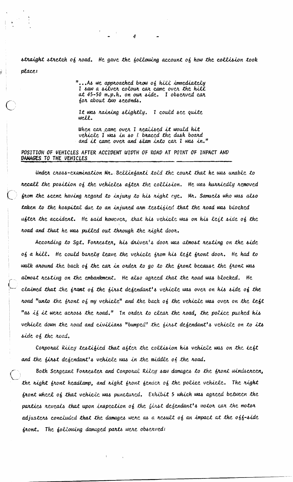straight stretch of road. He gave the following account of how the collision took place:

> "... As we approached brow of hill immediately I saw a silver colour car came over the hill at 45-50 m.p.h. on our side. I observed car for about two seconds.

It was raining slightly. I could see quite well.

When car came over I realised it would hit vehicle I was in so I braced the dash board and it came over and slam into car I was in."

POSITION OF VEHICLES AFTER ACCIDENT WIDTH OF ROAD AT POINT OF IMPACT AND DAMAGES TO THE VEHICLES

Under cross-examination Mr. Bellinfanti told the court that he was unable to recall the position of the vehicles after the collision. He was hurriedly removed from the scene having regard to injury to his right  $eyc$ . Mr. Samuels who was also taken to the hospital due to an injured arm testified that the road was blocked ufter the accident. He said however, that his vehicle was on his left side of the road and that he was pulled out through the right door.

According to Sgt. Forrester, his driver's door was almost resting on the side of a hill. He could barely leave the vehicle from his left front door. He had to walk around the back of the car in order to go to the front because the front was almost resting on the embankment. He also agreed that the road was blocked. He claimed that the frant of the first defendant's vehicle was over on his side of the noad "unto the front of my vehicle" and the back of the vehicle was over on the left "as if it were across the road." In order to clear the road, the police pushed his vehicle down the road and civilians "bumped" the first defendant's vehicle on to its side of the road.

Corporal Riley testified that after the collision his vehicle was on the left and the first defendant's vehicle was in the middle of the road.

Both Scrgcant Forrester and Corporal Riley saw damages to the front windscreen, the right front headlamp, and right front fender of the police vehicle. The right front wheel of that vehicle was punctured. Exhibit 5 which was agreed between the parties reveals that upon inspection of the first defendant's motor car the motor adjusters concluded that the damages were as a result of an impact at the off-side front. The following damaged parts were observed: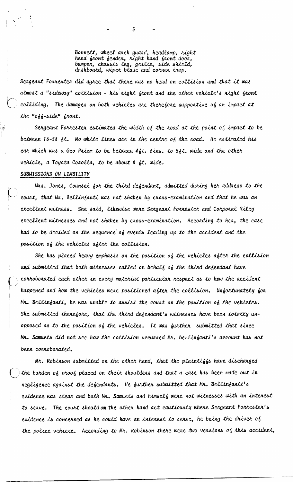Bonnett, wheel arch guard, headlamp, right hand front fender, right hand front door, bumper, chassis leg, grille, side shield,<br>dashboard, wiper blade and corner lrmp.

5

Sergeant Forrester did agree that there was no head on collision and that it was almost a "sideway" collision - his right front and the other vehicle's right front colliding. The damages on both vehicles are therefore supportive of an impact at the "off-side" front.

Sergeant Forrester estimated the width of the road at the point of impact to be between 16-28 ft. No white lines are in the centre of the road. He estimated his car which was a Geo Prizm to be between  $4\frac{1}{2}\lambda$ . 6ins. to 5ft. wide and the other vehicle, a Toyora Corolla, to be about 8 ft. wide.

## SUBMISSIONS ON LIABILITY

Mrs. Jones, Counsel for the third defendant, admitted during her address to the court, that Mr. Bellinfanti was not shaken by cross-examination and that he was an excellent witness. She said, likewise were Sergeant Forrester and Corporal Riley excellent witnesses and not shaken by cross-examination. According to her, the case had to be decided on the sequence of events leading up to the accident and the position of the vehicles after the collision.

She has placed heavy emphasis on the position of the vehicles after the collision and submitted that both witnesses called on behalf of the third defendant have corroborated each other in every material particular respect as to how the accident happened and how the vehicles were positioned after the collision. Unfortunately for Mr. Bellinfanti, he was unable to assist the court on the position of the vehicles. She submitted therefore, that the third defendant's witnesses have been totally unopposed as to the position of the vehicles. It was further submitted that since Mr. Samuels did not see how the collision occurred Mr. bellinfanti's account has not been connoborated.

Mr. Robinson submitted on the other hand, that the plaintiffs have discharged the burden of proof placed on their shoulders and that a case has been made out in negligence against the defendants. He further submitted that Mr. Bellinfanti's evidence was elear and both Mr. Samuels and himself were not witnesses with an interest to serve. The court should on the other hand act cautiously where Sergeant Forrester's cvidence is concerned as he could have an interest to serve, he being the driver of the police vehicle. According to Mr. Robinson there were two versions of this accident,